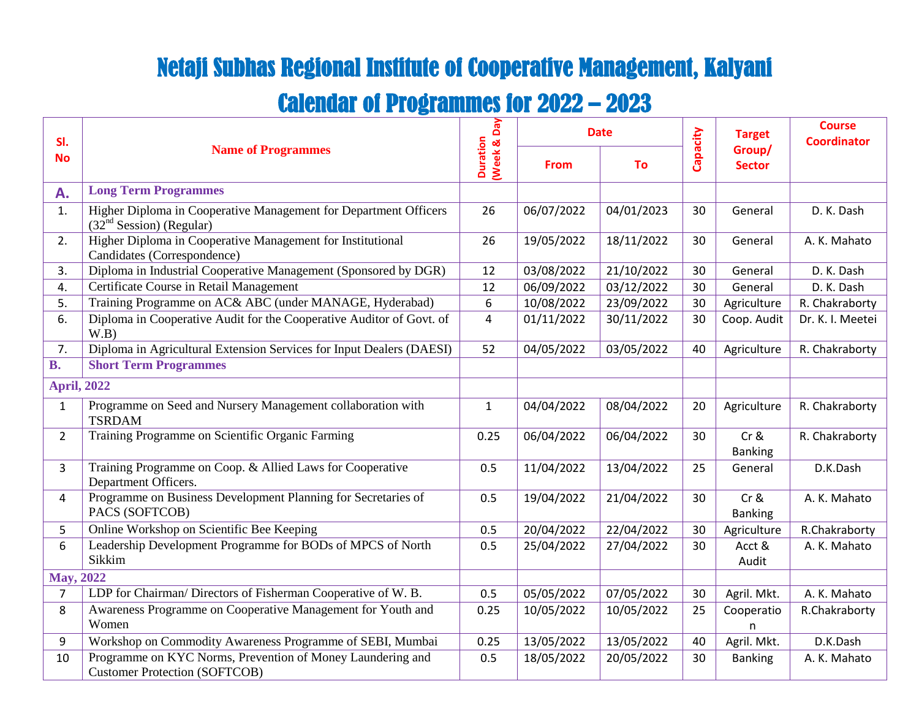## Netaji Subhas Regional Institute of Cooperative Management, Kalyani

## Calendar of Programmes for 2022 – 2023

| SI.                |                                                                                                    | <b>Day</b>                |             | <b>Date</b> |          | <b>Target</b>            | <b>Course</b><br><b>Coordinator</b> |
|--------------------|----------------------------------------------------------------------------------------------------|---------------------------|-------------|-------------|----------|--------------------------|-------------------------------------|
| <b>No</b>          | <b>Name of Programmes</b>                                                                          | <b>Duration</b><br>Week & | <b>From</b> | <b>To</b>   | Capacity | Group/<br><b>Sector</b>  |                                     |
| A.                 | <b>Long Term Programmes</b>                                                                        |                           |             |             |          |                          |                                     |
| 1.                 | Higher Diploma in Cooperative Management for Department Officers<br>$(32nd Session)$ (Regular)     | 26                        | 06/07/2022  | 04/01/2023  | 30       | General                  | D. K. Dash                          |
| 2.                 | Higher Diploma in Cooperative Management for Institutional<br>Candidates (Correspondence)          | 26                        | 19/05/2022  | 18/11/2022  | 30       | General                  | A. K. Mahato                        |
| 3.                 | Diploma in Industrial Cooperative Management (Sponsored by DGR)                                    | 12                        | 03/08/2022  | 21/10/2022  | 30       | General                  | D. K. Dash                          |
| 4.                 | Certificate Course in Retail Management                                                            | 12                        | 06/09/2022  | 03/12/2022  | 30       | General                  | D. K. Dash                          |
| 5.                 | Training Programme on AC& ABC (under MANAGE, Hyderabad)                                            | 6                         | 10/08/2022  | 23/09/2022  | 30       | Agriculture              | R. Chakraborty                      |
| 6.                 | Diploma in Cooperative Audit for the Cooperative Auditor of Govt. of<br>W.B)                       | $\overline{4}$            | 01/11/2022  | 30/11/2022  | 30       | Coop. Audit              | Dr. K. I. Meetei                    |
| 7.                 | Diploma in Agricultural Extension Services for Input Dealers (DAESI)                               | 52                        | 04/05/2022  | 03/05/2022  | 40       | Agriculture              | R. Chakraborty                      |
| <b>B.</b>          | <b>Short Term Programmes</b>                                                                       |                           |             |             |          |                          |                                     |
| <b>April, 2022</b> |                                                                                                    |                           |             |             |          |                          |                                     |
| $\mathbf{1}$       | Programme on Seed and Nursery Management collaboration with<br><b>TSRDAM</b>                       | $\mathbf{1}$              | 04/04/2022  | 08/04/2022  | 20       | Agriculture              | R. Chakraborty                      |
| $\overline{2}$     | Training Programme on Scientific Organic Farming                                                   | 0.25                      | 06/04/2022  | 06/04/2022  | 30       | $Cr$ &<br><b>Banking</b> | R. Chakraborty                      |
| 3                  | Training Programme on Coop. & Allied Laws for Cooperative<br>Department Officers.                  | 0.5                       | 11/04/2022  | 13/04/2022  | 25       | General                  | D.K.Dash                            |
| 4                  | Programme on Business Development Planning for Secretaries of<br>PACS (SOFTCOB)                    | 0.5                       | 19/04/2022  | 21/04/2022  | 30       | Cr &<br><b>Banking</b>   | A. K. Mahato                        |
| 5                  | Online Workshop on Scientific Bee Keeping                                                          | 0.5                       | 20/04/2022  | 22/04/2022  | 30       | Agriculture              | R.Chakraborty                       |
| 6                  | Leadership Development Programme for BODs of MPCS of North<br>Sikkim                               | 0.5                       | 25/04/2022  | 27/04/2022  | 30       | Acct &<br>Audit          | A. K. Mahato                        |
| <b>May, 2022</b>   |                                                                                                    |                           |             |             |          |                          |                                     |
| 7                  | LDP for Chairman/Directors of Fisherman Cooperative of W. B.                                       | 0.5                       | 05/05/2022  | 07/05/2022  | 30       | Agril. Mkt.              | A. K. Mahato                        |
| 8                  | Awareness Programme on Cooperative Management for Youth and<br>Women                               | 0.25                      | 10/05/2022  | 10/05/2022  | 25       | Cooperatio<br>n          | R.Chakraborty                       |
| 9                  | Workshop on Commodity Awareness Programme of SEBI, Mumbai                                          | 0.25                      | 13/05/2022  | 13/05/2022  | 40       | Agril. Mkt.              | D.K.Dash                            |
| 10                 | Programme on KYC Norms, Prevention of Money Laundering and<br><b>Customer Protection (SOFTCOB)</b> | 0.5                       | 18/05/2022  | 20/05/2022  | 30       | <b>Banking</b>           | A. K. Mahato                        |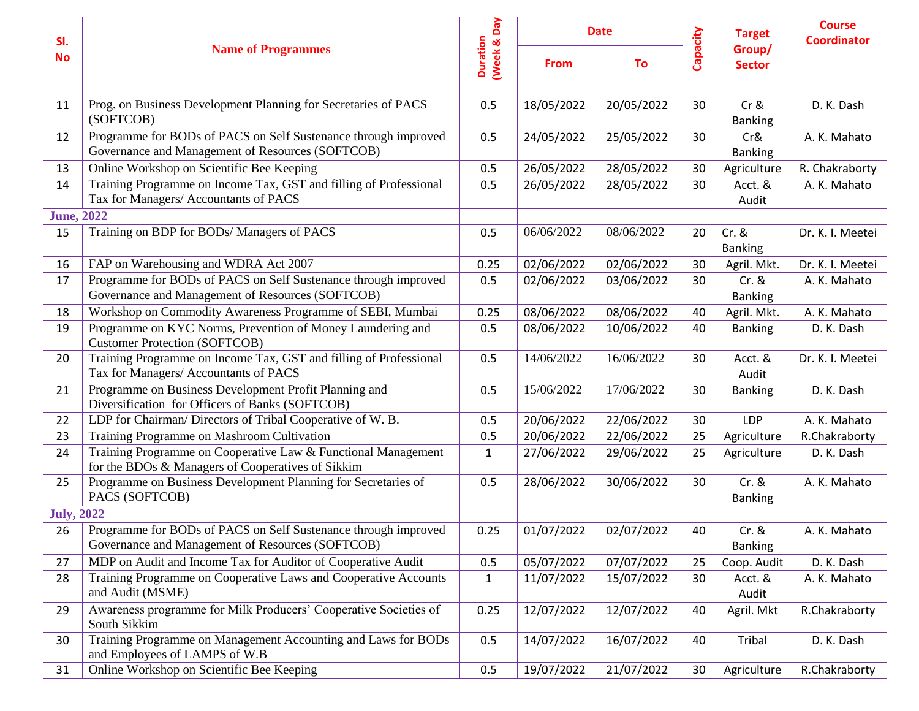| SI.                |                                                                                                                    |                                |             | <b>Date</b> |          | <b>Target</b>             | <b>Course</b><br><b>Coordinator</b> |
|--------------------|--------------------------------------------------------------------------------------------------------------------|--------------------------------|-------------|-------------|----------|---------------------------|-------------------------------------|
| <b>No</b>          | <b>Name of Programmes</b>                                                                                          | (Week & Day<br><b>Duration</b> | <b>From</b> | To          | Capacity | Group/<br><b>Sector</b>   |                                     |
|                    |                                                                                                                    |                                |             |             |          |                           |                                     |
| 11                 | Prog. on Business Development Planning for Secretaries of PACS<br>(SOFTCOB)                                        | 0.5                            | 18/05/2022  | 20/05/2022  | 30       | $Cr$ &<br><b>Banking</b>  | D. K. Dash                          |
| 12                 | Programme for BODs of PACS on Self Sustenance through improved<br>Governance and Management of Resources (SOFTCOB) | 0.5                            | 24/05/2022  | 25/05/2022  | 30       | Cr&<br><b>Banking</b>     | A. K. Mahato                        |
| 13                 | Online Workshop on Scientific Bee Keeping                                                                          | 0.5                            | 26/05/2022  | 28/05/2022  | 30       | Agriculture               | R. Chakraborty                      |
| 14                 | Training Programme on Income Tax, GST and filling of Professional<br>Tax for Managers/ Accountants of PACS         | 0.5                            | 26/05/2022  | 28/05/2022  | 30       | Acct. &<br>Audit          | A. K. Mahato                        |
| <b>June</b> , 2022 |                                                                                                                    |                                |             |             |          |                           |                                     |
| 15                 | Training on BDP for BODs/ Managers of PACS                                                                         | 0.5                            | 06/06/2022  | 08/06/2022  | 20       | $Cr.$ &<br><b>Banking</b> | Dr. K. I. Meetei                    |
| 16                 | FAP on Warehousing and WDRA Act 2007                                                                               | 0.25                           | 02/06/2022  | 02/06/2022  | 30       | Agril. Mkt.               | Dr. K. I. Meetei                    |
| 17                 | Programme for BODs of PACS on Self Sustenance through improved<br>Governance and Management of Resources (SOFTCOB) | 0.5                            | 02/06/2022  | 03/06/2022  | 30       | $Cr.$ &<br><b>Banking</b> | A. K. Mahato                        |
| 18                 | Workshop on Commodity Awareness Programme of SEBI, Mumbai                                                          | 0.25                           | 08/06/2022  | 08/06/2022  | 40       | Agril. Mkt.               | A. K. Mahato                        |
| 19                 | Programme on KYC Norms, Prevention of Money Laundering and<br><b>Customer Protection (SOFTCOB)</b>                 | 0.5                            | 08/06/2022  | 10/06/2022  | 40       | <b>Banking</b>            | D. K. Dash                          |
| 20                 | Training Programme on Income Tax, GST and filling of Professional<br>Tax for Managers/ Accountants of PACS         | 0.5                            | 14/06/2022  | 16/06/2022  | 30       | Acct. &<br>Audit          | Dr. K. I. Meetei                    |
| 21                 | Programme on Business Development Profit Planning and<br>Diversification for Officers of Banks (SOFTCOB)           | 0.5                            | 15/06/2022  | 17/06/2022  | 30       | <b>Banking</b>            | D. K. Dash                          |
| 22                 | LDP for Chairman/ Directors of Tribal Cooperative of W. B.                                                         | 0.5                            | 20/06/2022  | 22/06/2022  | 30       | LDP                       | A. K. Mahato                        |
| 23                 | Training Programme on Mashroom Cultivation                                                                         | 0.5                            | 20/06/2022  | 22/06/2022  | 25       | Agriculture               | R.Chakraborty                       |
| 24                 | Training Programme on Cooperative Law & Functional Management<br>for the BDOs & Managers of Cooperatives of Sikkim | $\mathbf{1}$                   | 27/06/2022  | 29/06/2022  | 25       | Agriculture               | D. K. Dash                          |
| 25                 | Programme on Business Development Planning for Secretaries of<br>PACS (SOFTCOB)                                    | 0.5                            | 28/06/2022  | 30/06/2022  | 30       | $Cr.$ &<br><b>Banking</b> | A. K. Mahato                        |
| <b>July, 2022</b>  |                                                                                                                    |                                |             |             |          |                           |                                     |
| 26                 | Programme for BODs of PACS on Self Sustenance through improved<br>Governance and Management of Resources (SOFTCOB) | 0.25                           | 01/07/2022  | 02/07/2022  | 40       | $Cr.$ &<br><b>Banking</b> | A. K. Mahato                        |
| 27                 | MDP on Audit and Income Tax for Auditor of Cooperative Audit                                                       | 0.5                            | 05/07/2022  | 07/07/2022  | 25       | Coop. Audit               | D. K. Dash                          |
| 28                 | Training Programme on Cooperative Laws and Cooperative Accounts<br>and Audit (MSME)                                | $\mathbf{1}$                   | 11/07/2022  | 15/07/2022  | 30       | Acct. &<br>Audit          | A. K. Mahato                        |
| 29                 | Awareness programme for Milk Producers' Cooperative Societies of<br>South Sikkim                                   | 0.25                           | 12/07/2022  | 12/07/2022  | 40       | Agril. Mkt                | R.Chakraborty                       |
| 30                 | Training Programme on Management Accounting and Laws for BODs<br>and Employees of LAMPS of W.B                     | 0.5                            | 14/07/2022  | 16/07/2022  | 40       | Tribal                    | D. K. Dash                          |
| 31                 | Online Workshop on Scientific Bee Keeping                                                                          | 0.5                            | 19/07/2022  | 21/07/2022  | 30       | Agriculture               | R.Chakraborty                       |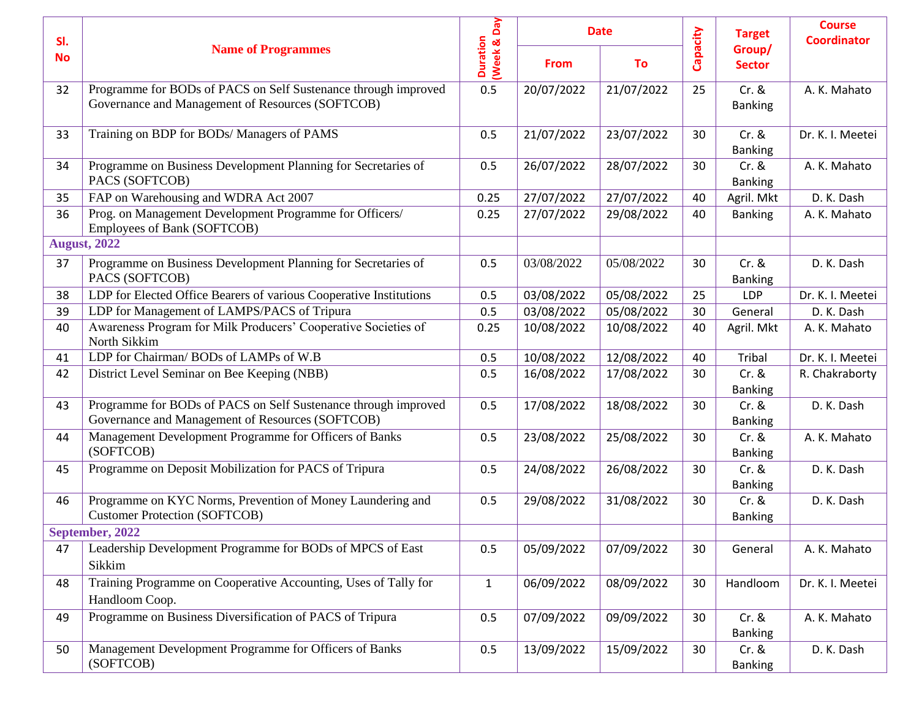| SI.       |                                                                                                                    |                                |             | <b>Date</b> |          | <b>Target</b>             | <b>Course</b><br><b>Coordinator</b> |
|-----------|--------------------------------------------------------------------------------------------------------------------|--------------------------------|-------------|-------------|----------|---------------------------|-------------------------------------|
| <b>No</b> | <b>Name of Programmes</b>                                                                                          | (Week & Day<br><b>Duration</b> | <b>From</b> | To          | Capacity | Group/<br><b>Sector</b>   |                                     |
| 32        | Programme for BODs of PACS on Self Sustenance through improved<br>Governance and Management of Resources (SOFTCOB) | 0.5                            | 20/07/2022  | 21/07/2022  | 25       | $Cr.$ &<br><b>Banking</b> | A. K. Mahato                        |
| 33        | Training on BDP for BODs/ Managers of PAMS                                                                         | 0.5                            | 21/07/2022  | 23/07/2022  | 30       | $Cr.$ &<br><b>Banking</b> | Dr. K. I. Meetei                    |
| 34        | Programme on Business Development Planning for Secretaries of<br>PACS (SOFTCOB)                                    | 0.5                            | 26/07/2022  | 28/07/2022  | 30       | $Cr.$ &<br><b>Banking</b> | A. K. Mahato                        |
| 35        | FAP on Warehousing and WDRA Act 2007                                                                               | 0.25                           | 27/07/2022  | 27/07/2022  | 40       | Agril. Mkt                | D. K. Dash                          |
| 36        | Prog. on Management Development Programme for Officers/<br>Employees of Bank (SOFTCOB)                             | 0.25                           | 27/07/2022  | 29/08/2022  | 40       | <b>Banking</b>            | A. K. Mahato                        |
|           | <b>August, 2022</b>                                                                                                |                                |             |             |          |                           |                                     |
| 37        | Programme on Business Development Planning for Secretaries of<br>PACS (SOFTCOB)                                    | 0.5                            | 03/08/2022  | 05/08/2022  | 30       | $Cr.$ &<br><b>Banking</b> | D. K. Dash                          |
| 38        | LDP for Elected Office Bearers of various Cooperative Institutions                                                 | 0.5                            | 03/08/2022  | 05/08/2022  | 25       | LDP                       | Dr. K. I. Meetei                    |
| 39        | LDP for Management of LAMPS/PACS of Tripura                                                                        | 0.5                            | 03/08/2022  | 05/08/2022  | 30       | General                   | D. K. Dash                          |
| 40        | Awareness Program for Milk Producers' Cooperative Societies of<br>North Sikkim                                     | 0.25                           | 10/08/2022  | 10/08/2022  | 40       | Agril. Mkt                | A. K. Mahato                        |
| 41        | LDP for Chairman/BODs of LAMPs of W.B                                                                              | 0.5                            | 10/08/2022  | 12/08/2022  | 40       | <b>Tribal</b>             | Dr. K. I. Meetei                    |
| 42        | District Level Seminar on Bee Keeping (NBB)                                                                        | 0.5                            | 16/08/2022  | 17/08/2022  | 30       | $Cr.$ &<br><b>Banking</b> | R. Chakraborty                      |
| 43        | Programme for BODs of PACS on Self Sustenance through improved<br>Governance and Management of Resources (SOFTCOB) | 0.5                            | 17/08/2022  | 18/08/2022  | 30       | $Cr.$ &<br><b>Banking</b> | D. K. Dash                          |
| 44        | Management Development Programme for Officers of Banks<br>(SOFTCOB)                                                | 0.5                            | 23/08/2022  | 25/08/2022  | 30       | $Cr.$ &<br><b>Banking</b> | A. K. Mahato                        |
| 45        | Programme on Deposit Mobilization for PACS of Tripura                                                              | 0.5                            | 24/08/2022  | 26/08/2022  | 30       | $Cr.$ &<br><b>Banking</b> | D. K. Dash                          |
| 46        | Programme on KYC Norms, Prevention of Money Laundering and<br><b>Customer Protection (SOFTCOB)</b>                 | 0.5                            | 29/08/2022  | 31/08/2022  | 30       | $Cr.$ &<br><b>Banking</b> | D. K. Dash                          |
|           | September, 2022                                                                                                    |                                |             |             |          |                           |                                     |
| 47        | Leadership Development Programme for BODs of MPCS of East<br>Sikkim                                                | 0.5                            | 05/09/2022  | 07/09/2022  | 30       | General                   | A. K. Mahato                        |
| 48        | Training Programme on Cooperative Accounting, Uses of Tally for<br>Handloom Coop.                                  | $\mathbf{1}$                   | 06/09/2022  | 08/09/2022  | 30       | Handloom                  | Dr. K. I. Meetei                    |
| 49        | Programme on Business Diversification of PACS of Tripura                                                           | 0.5                            | 07/09/2022  | 09/09/2022  | 30       | $Cr.$ &<br><b>Banking</b> | A. K. Mahato                        |
| 50        | Management Development Programme for Officers of Banks<br>(SOFTCOB)                                                | 0.5                            | 13/09/2022  | 15/09/2022  | 30       | $Cr.$ &<br><b>Banking</b> | D. K. Dash                          |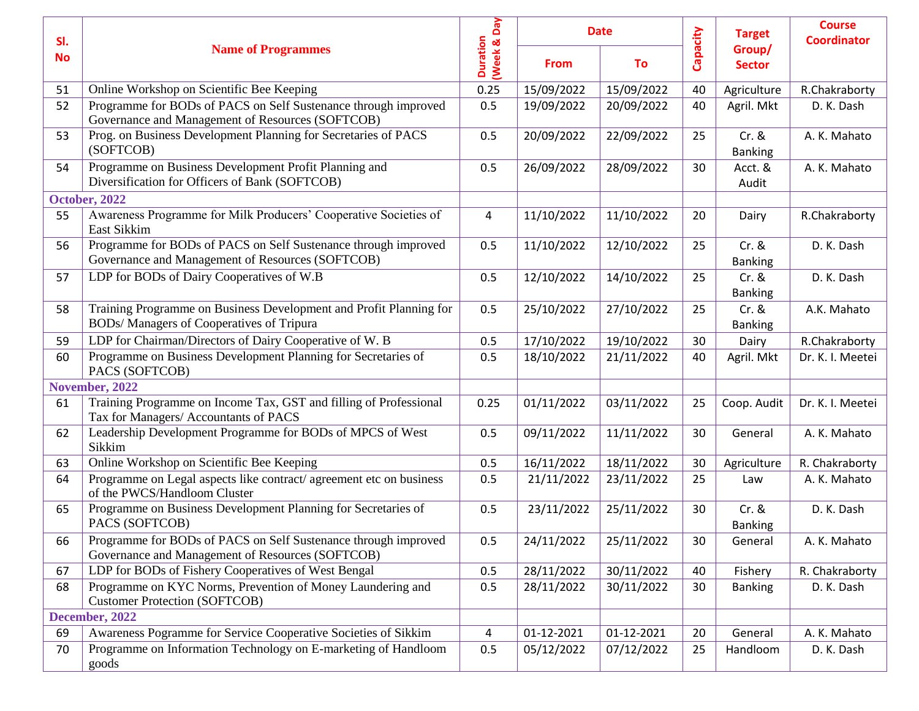| SI.       |                                                                                                                    |                                |             | <b>Date</b> |          | <b>Course</b><br><b>Target</b><br><b>Coordinator</b><br>Group/<br><b>Sector</b> |                  |
|-----------|--------------------------------------------------------------------------------------------------------------------|--------------------------------|-------------|-------------|----------|---------------------------------------------------------------------------------|------------------|
| <b>No</b> | <b>Name of Programmes</b>                                                                                          | (Week & Day<br><b>Duration</b> | <b>From</b> | To          | Capacity |                                                                                 |                  |
| 51        | Online Workshop on Scientific Bee Keeping                                                                          | 0.25                           | 15/09/2022  | 15/09/2022  | 40       | Agriculture                                                                     | R.Chakraborty    |
| 52        | Programme for BODs of PACS on Self Sustenance through improved<br>Governance and Management of Resources (SOFTCOB) | 0.5                            | 19/09/2022  | 20/09/2022  | 40       | Agril. Mkt                                                                      | D. K. Dash       |
| 53        | Prog. on Business Development Planning for Secretaries of PACS<br>(SOFTCOB)                                        | 0.5                            | 20/09/2022  | 22/09/2022  | 25       | $Cr.$ &<br><b>Banking</b>                                                       | A. K. Mahato     |
| 54        | Programme on Business Development Profit Planning and<br>Diversification for Officers of Bank (SOFTCOB)            | 0.5                            | 26/09/2022  | 28/09/2022  | 30       | Acct. &<br>Audit                                                                | A. K. Mahato     |
|           | October, 2022                                                                                                      |                                |             |             |          |                                                                                 |                  |
| 55        | Awareness Programme for Milk Producers' Cooperative Societies of<br>East Sikkim                                    | 4                              | 11/10/2022  | 11/10/2022  | 20       | Dairy                                                                           | R.Chakraborty    |
| 56        | Programme for BODs of PACS on Self Sustenance through improved<br>Governance and Management of Resources (SOFTCOB) | 0.5                            | 11/10/2022  | 12/10/2022  | 25       | $Cr.$ &<br><b>Banking</b>                                                       | D. K. Dash       |
| 57        | LDP for BODs of Dairy Cooperatives of W.B                                                                          | 0.5                            | 12/10/2022  | 14/10/2022  | 25       | $Cr.$ &<br><b>Banking</b>                                                       | D. K. Dash       |
| 58        | Training Programme on Business Development and Profit Planning for<br>BODs/ Managers of Cooperatives of Tripura    | 0.5                            | 25/10/2022  | 27/10/2022  | 25       | $Cr.$ &<br><b>Banking</b>                                                       | A.K. Mahato      |
| 59        | LDP for Chairman/Directors of Dairy Cooperative of W. B                                                            | 0.5                            | 17/10/2022  | 19/10/2022  | 30       | Dairy                                                                           | R.Chakraborty    |
| 60        | Programme on Business Development Planning for Secretaries of<br>PACS (SOFTCOB)                                    | 0.5                            | 18/10/2022  | 21/11/2022  | 40       | Agril. Mkt                                                                      | Dr. K. I. Meetei |
|           | November, 2022                                                                                                     |                                |             |             |          |                                                                                 |                  |
| 61        | Training Programme on Income Tax, GST and filling of Professional<br>Tax for Managers/ Accountants of PACS         | 0.25                           | 01/11/2022  | 03/11/2022  | 25       | Coop. Audit                                                                     | Dr. K. I. Meetei |
| 62        | Leadership Development Programme for BODs of MPCS of West<br>Sikkim                                                | 0.5                            | 09/11/2022  | 11/11/2022  | 30       | General                                                                         | A. K. Mahato     |
| 63        | Online Workshop on Scientific Bee Keeping                                                                          | 0.5                            | 16/11/2022  | 18/11/2022  | 30       | Agriculture                                                                     | R. Chakraborty   |
| 64        | Programme on Legal aspects like contract/agreement etc on business<br>of the PWCS/Handloom Cluster                 | 0.5                            | 21/11/2022  | 23/11/2022  | 25       | Law                                                                             | A. K. Mahato     |
| 65        | Programme on Business Development Planning for Secretaries of<br>PACS (SOFTCOB)                                    | 0.5                            | 23/11/2022  | 25/11/2022  | 30       | $Cr.$ &<br><b>Banking</b>                                                       | D. K. Dash       |
| 66        | Programme for BODs of PACS on Self Sustenance through improved<br>Governance and Management of Resources (SOFTCOB) | 0.5                            | 24/11/2022  | 25/11/2022  | 30       | General                                                                         | A. K. Mahato     |
| 67        | LDP for BODs of Fishery Cooperatives of West Bengal                                                                | 0.5                            | 28/11/2022  | 30/11/2022  | 40       | Fishery                                                                         | R. Chakraborty   |
| 68        | Programme on KYC Norms, Prevention of Money Laundering and<br><b>Customer Protection (SOFTCOB)</b>                 | 0.5                            | 28/11/2022  | 30/11/2022  | 30       | <b>Banking</b>                                                                  | D. K. Dash       |
|           | December, 2022                                                                                                     |                                |             |             |          |                                                                                 |                  |
| 69        | Awareness Pogramme for Service Cooperative Societies of Sikkim                                                     | 4                              | 01-12-2021  | 01-12-2021  | 20       | General                                                                         | A. K. Mahato     |
| 70        | Programme on Information Technology on E-marketing of Handloom<br>goods                                            | 0.5                            | 05/12/2022  | 07/12/2022  | 25       | Handloom                                                                        | D. K. Dash       |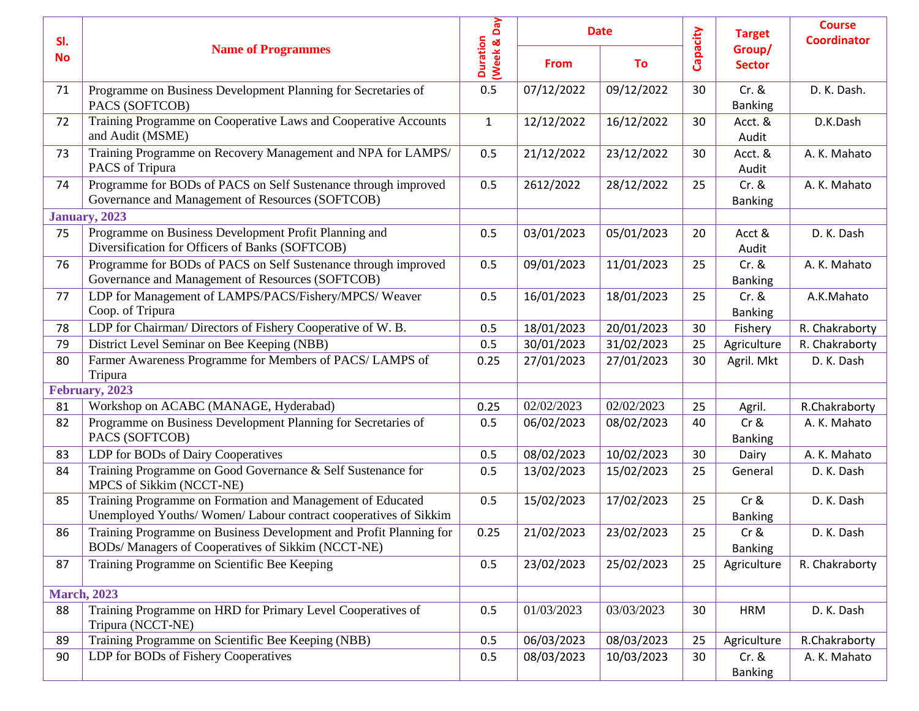| SI.       |                                                                                                                              |                                |             | <b>Date</b> |          | <b>Target</b>             | <b>Course</b><br><b>Coordinator</b> |
|-----------|------------------------------------------------------------------------------------------------------------------------------|--------------------------------|-------------|-------------|----------|---------------------------|-------------------------------------|
| <b>No</b> | <b>Name of Programmes</b>                                                                                                    | (Week & Day<br><b>Duration</b> | <b>From</b> | To          | Capacity | Group/<br><b>Sector</b>   |                                     |
| 71        | Programme on Business Development Planning for Secretaries of<br>PACS (SOFTCOB)                                              | 0.5                            | 07/12/2022  | 09/12/2022  | 30       | $Cr.$ &<br><b>Banking</b> | D. K. Dash.                         |
| 72        | Training Programme on Cooperative Laws and Cooperative Accounts<br>and Audit (MSME)                                          | $\mathbf{1}$                   | 12/12/2022  | 16/12/2022  | 30       | Acct. &<br>Audit          | D.K.Dash                            |
| 73        | Training Programme on Recovery Management and NPA for LAMPS/<br>PACS of Tripura                                              | 0.5                            | 21/12/2022  | 23/12/2022  | 30       | Acct. &<br>Audit          | A. K. Mahato                        |
| 74        | Programme for BODs of PACS on Self Sustenance through improved<br>Governance and Management of Resources (SOFTCOB)           | 0.5                            | 2612/2022   | 28/12/2022  | 25       | $Cr.$ &<br><b>Banking</b> | A. K. Mahato                        |
|           | <b>January</b> , 2023                                                                                                        |                                |             |             |          |                           |                                     |
| 75        | Programme on Business Development Profit Planning and<br>Diversification for Officers of Banks (SOFTCOB)                     | 0.5                            | 03/01/2023  | 05/01/2023  | 20       | Acct &<br>Audit           | D. K. Dash                          |
| 76        | Programme for BODs of PACS on Self Sustenance through improved<br>Governance and Management of Resources (SOFTCOB)           | 0.5                            | 09/01/2023  | 11/01/2023  | 25       | $Cr.$ &<br><b>Banking</b> | A. K. Mahato                        |
| 77        | LDP for Management of LAMPS/PACS/Fishery/MPCS/ Weaver<br>Coop. of Tripura                                                    | 0.5                            | 16/01/2023  | 18/01/2023  | 25       | $Cr.$ &<br><b>Banking</b> | A.K.Mahato                          |
| 78        | LDP for Chairman/Directors of Fishery Cooperative of W.B.                                                                    | 0.5                            | 18/01/2023  | 20/01/2023  | 30       | Fishery                   | R. Chakraborty                      |
| 79        | District Level Seminar on Bee Keeping (NBB)                                                                                  | 0.5                            | 30/01/2023  | 31/02/2023  | 25       | Agriculture               | R. Chakraborty                      |
| 80        | Farmer Awareness Programme for Members of PACS/ LAMPS of<br>Tripura                                                          | 0.25                           | 27/01/2023  | 27/01/2023  | 30       | Agril. Mkt                | D. K. Dash                          |
|           | February, 2023                                                                                                               |                                |             |             |          |                           |                                     |
| 81        | Workshop on ACABC (MANAGE, Hyderabad)                                                                                        | 0.25                           | 02/02/2023  | 02/02/2023  | 25       | Agril.                    | R.Chakraborty                       |
| 82        | Programme on Business Development Planning for Secretaries of<br>PACS (SOFTCOB)                                              | 0.5                            | 06/02/2023  | 08/02/2023  | 40       | $Cr$ &<br><b>Banking</b>  | A. K. Mahato                        |
| 83        | LDP for BODs of Dairy Cooperatives                                                                                           | 0.5                            | 08/02/2023  | 10/02/2023  | 30       | Dairy                     | A. K. Mahato                        |
| 84        | Training Programme on Good Governance & Self Sustenance for<br>MPCS of Sikkim (NCCT-NE)                                      | 0.5                            | 13/02/2023  | 15/02/2023  | 25       | General                   | D. K. Dash                          |
| 85        | Training Programme on Formation and Management of Educated<br>Unemployed Youths/Women/Labour contract cooperatives of Sikkim | 0.5                            | 15/02/2023  | 17/02/2023  | 25       | $Cr$ &<br><b>Banking</b>  | D. K. Dash                          |
| 86        | Training Programme on Business Development and Profit Planning for<br>BODs/ Managers of Cooperatives of Sikkim (NCCT-NE)     | 0.25                           | 21/02/2023  | 23/02/2023  | 25       | $Cr$ &<br><b>Banking</b>  | D. K. Dash                          |
| 87        | Training Programme on Scientific Bee Keeping                                                                                 | 0.5                            | 23/02/2023  | 25/02/2023  | 25       | Agriculture               | R. Chakraborty                      |
|           | <b>March, 2023</b>                                                                                                           |                                |             |             |          |                           |                                     |
| 88        | Training Programme on HRD for Primary Level Cooperatives of<br>Tripura (NCCT-NE)                                             | 0.5                            | 01/03/2023  | 03/03/2023  | 30       | <b>HRM</b>                | D. K. Dash                          |
| 89        | Training Programme on Scientific Bee Keeping (NBB)                                                                           | 0.5                            | 06/03/2023  | 08/03/2023  | 25       | Agriculture               | R.Chakraborty                       |
| 90        | LDP for BODs of Fishery Cooperatives                                                                                         | 0.5                            | 08/03/2023  | 10/03/2023  | 30       | $Cr.$ &<br><b>Banking</b> | A. K. Mahato                        |